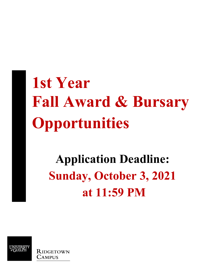# **1st Year Fall Award & Bursary Opportunities**

## **Sunday, October 3, 2021 Application Deadline: at 11:59 PM**

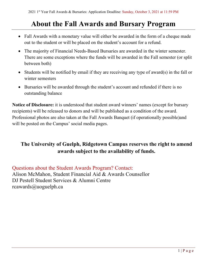## **About the Fall Awards and Bursary Program**

- • Fall Awards with a monetary value will either be awarded in the form of a cheque made out to the student or will be placed on the student's account for a refund.
- • The majority of Financial Needs-Based Bursaries are awarded in the winter semester. There are some exceptions where the funds will be awarded in the Fall semester (or split between both)
- Students will be notified by email if they are receiving any type of award(s) in the fall or winter semesters
- Bursaries will be awarded through the student's account and refunded if there is no outstanding balance

 will be posted on the Campus' social media pages. **Notice of Disclosure:** it is understood that student award winners' names (except for bursary recipients) will be released to donors and will be published as a condition of the award. Professional photos are also taken at the Fall Awards Banquet (if operationally possible)and

## **The University of Guelph, Ridgetown Campus reserves the right to amend awards subject to the availability of funds.**

Questions about the Student Awards Program? Contact: Alison McMahon, Student Financial Aid & Awards Counsellor DJ Pestell Student Services & Alumni Centre rcawards@uoguelph.ca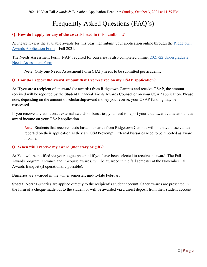## Frequently Asked Questions (FAQ's)

#### **Q: How do I apply for any of the awards listed in this handbook?**

 [Awards Application Form](https://uoguel.ph/ridgetown-awardapp) – Fall 2021. **A**: Please review the available awards for this year then submit your application online through the [Ridgetown](https://uoguel.ph/ridgetown-awardapp) 

The Needs Assessment Form (NAF) required for bursaries is also completed online: [2021-22 Undergraduate](https://uoguel.ph/ridgetown-naf)  [Needs Assessment Form](https://uoguel.ph/ridgetown-naf) 

**Note:** Only one Needs Assessment Form (NAF) needs to be submitted per academic

#### **Q: How do I report the award amount that I've received on my OSAP application?**

 **A:** If you are a recipient of an award (or awards) from Ridgetown Campus and receive OSAP, the amount received will be reported by the Student Financial Aid & Awards Counsellor on your OSAP application. Please note, depending on the amount of scholarship/award money you receive, your OSAP funding may be reassessed.

 If you receive any additional, external awards or bursaries, you need to report your total award value amount as award income on your OSAP application.

**Note:** Students that receive needs-based bursaries from Ridgetown Campus will not have these values reported on their application as they are OSAP-exempt. External bursaries need to be reported as award income.

#### **Q: When will I receive my award (monetary or gift)?**

**A:** You will be notified via your uoguelph email if you have been selected to receive an award. The Fall Awards program (entrance and in-course awards) will be awarded in the fall semester at the November Fall Awards Banquet (if operationally possible).

Bursaries are awarded in the winter semester, mid-to-late February

**Special Note:** Bursaries are applied directly to the recipient's student account. Other awards are presented in the form of a cheque made out to the student or will be awarded via a direct deposit from their student account.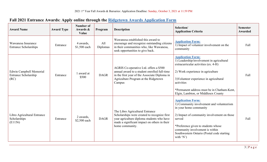| <b>Award Name</b>                                       | <b>Award Type</b> | Number of<br>Awards &<br>Value | Program         | <b>Description</b>                                                                                                                                                                               | Selection/<br><b>Application Criteria</b>                                                                                                                                                                                                                                                         | <b>Semester</b><br>Awarded |
|---------------------------------------------------------|-------------------|--------------------------------|-----------------|--------------------------------------------------------------------------------------------------------------------------------------------------------------------------------------------------|---------------------------------------------------------------------------------------------------------------------------------------------------------------------------------------------------------------------------------------------------------------------------------------------------|----------------------------|
| Wawanesa Insurance<br><b>Entrance Scholarships</b>      | Entrance          | 4 awards,<br>\$1,500 each      | All<br>Diplomas | Wawanesa established this award to<br>encourage and recognize outstanding citizens<br>in their communities who, like Wawanesa,<br>seek opportunities to give back.                               | <b>Application Form:</b><br>1) Impact of volunteer involvement on the<br>community                                                                                                                                                                                                                | Fall                       |
| Edwin Campbell Memorial<br>Entrance Scholarship<br>(RC) | Entrance          | 1 award at<br>\$500            | <b>DAGR</b>     | AGRIS Co-operative Ltd. offers a \$500<br>annual award to a student enrolled full-time<br>in the first year of the Associate Diploma in<br>Agriculture Program at the Ridgetown<br>Campus        | <b>Application Form:</b><br>1) Leadership/involvement in agricultural<br>extracurricular activities (ex. 4-H)<br>2) Work experience in agriculture<br>3) Volunteer experience in agricultural<br>activities<br>*Permanent address must be in Chatham-Kent,<br>Elgin, Lambton, or Middlesex County | Fall                       |
| Libro Agricultural Entrance<br>Scholarships<br>(E1156)  | Entrance          | 2 awards,<br>\$2,500 each      | <b>DAGR</b>     | The Libro Agricultural Entrance<br>Scholarships were created to recognize first<br>year agriculture diploma students who have<br>made a significant impact on others in their<br>home community. | <b>Application Form:</b><br>1) Community involvement and volunteerism<br>in your home community<br>2) Impact of community involvement on those<br>served<br>*Preference given to students whose<br>community involvement is within<br>Southwestern Ontario (Postal code starting<br>with $'N'$    | Fall                       |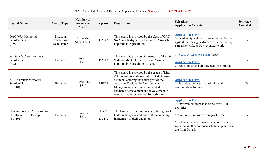| <b>Award Name</b>                                                 | <b>Award Type</b>                       | <b>Number of</b><br>Awards &<br>Value | Program                   | <b>Description</b>                                                                                                                                                                                                                                                                                       | Selection/<br><b>Application Criteria</b>                                                                                                                                                                                                    | <b>Semester</b><br><b>Awarded</b> |
|-------------------------------------------------------------------|-----------------------------------------|---------------------------------------|---------------------------|----------------------------------------------------------------------------------------------------------------------------------------------------------------------------------------------------------------------------------------------------------------------------------------------------------|----------------------------------------------------------------------------------------------------------------------------------------------------------------------------------------------------------------------------------------------|-----------------------------------|
| OAC '67A Memorial<br>Scholarships<br>(10921)                      | Financial<br>Needs-Based<br>Scholarship | 2 awards,<br>\$1,500 each             | <b>DAGR</b>               | This award is provided by the class of OAC<br>'67A to a first-year student in the Associate<br>Diploma in Agriculture.                                                                                                                                                                                   | <b>Application Form:</b><br>1) Leadership and involvement in the field of<br>agriculture through extracurricular activities,<br>part-time work, and/or volunteer work.                                                                       | Fall                              |
| William McGrail Entrance<br>Scholarship<br>(RC)                   | Entrance                                | award at<br>\$500                     | <b>DAGR</b>               | This award is provided in memory of the late<br>William McGrail to a first year Associate<br>Diploma in Agriculture student.                                                                                                                                                                             | 1) Needs Assessment Form (NAF)<br><b>Application Form:</b><br>2) Educational and employment background                                                                                                                                       | Fall                              |
| A.E. Wardlaw Memorial<br>Scholarship<br>(E0710)                   | Entrance                                | award at<br>\$500                     | <b>DENM</b>               | This award is provided by the estate of Mrs.<br>A.E. Wardlaw and directed by OAC to assist<br>a student entering their first year of the<br>Associate Diploma in Environmental<br>Management who has demonstrated<br>academic achievement and involvement in<br>extracurricular or community activities. | <b>Application Form:</b><br>1) Participation in extracurricular and<br>community activities                                                                                                                                                  | Fall                              |
| Henrike Foerster Memorial 4-<br>H Entrance Scholarship<br>(E0719) | Entrance                                | award at<br>\$500                     | <b>DVT</b><br><b>DVTA</b> | The family of Henrike Foerster, through 4-H<br>Ontario, has provided this \$500 scholarship<br>in memory of their daughter.                                                                                                                                                                              | <b>Application Form:</b><br>1) Involvement in past and/or current 4-H<br>activities<br>*Minimum admission average of 70%<br>*Preference given to students who have not<br>received another entrance scholarship and who<br>are from Ontario. | Fall                              |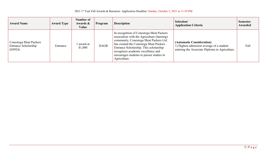2021 1<sup>st</sup> Year Fall Awards & Bursaries: Application Deadline: Sunday, October 3, 2021 at 11:59 PM

| <b>Award Name</b>                                         | <b>Award Type</b> | Number of<br>Awards &<br>Value | Program     | <b>Description</b>                                                                                                                                                                                                                                                                                                     | Selection/<br><b>Application Criteria</b>                                                                                | <b>Semester</b><br>Awarded |
|-----------------------------------------------------------|-------------------|--------------------------------|-------------|------------------------------------------------------------------------------------------------------------------------------------------------------------------------------------------------------------------------------------------------------------------------------------------------------------------------|--------------------------------------------------------------------------------------------------------------------------|----------------------------|
| Conestoga Meat Packers<br>Entrance Scholarship<br>(E0924) | Entrance          | award at<br>\$1,000            | <b>DAGR</b> | In recognition of Conestoga Meat Packers<br>association with the Agriculture (farming)<br>community, Conestoga Meat Packers Ltd.<br>has created the Conestoga Meat Packers<br>Entrance Scholarship. This scholarship<br>recognizes academic excellence and<br>encourages students to pursue studies in<br>Agriculture. | (Automatic Consideration)<br>1) Highest admission average of a student<br>entering the Associate Diploma in Agriculture. | Fall                       |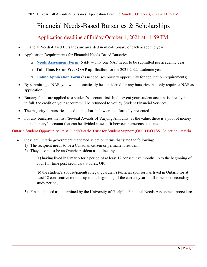## Financial Needs-Based Bursaries & Scholarships

### Application deadline of Friday October 1, 2021 at 11:59 PM.

- Financial Needs-Based Bursaries are awarded in mid-February of each academic year
- Application Requirements for Financial Needs-Based Bursaries:
	- □ **[Needs Assessment Form](https://uoguel.ph/ridgetown-naf) (NAF)**  only one NAF needs to be submitted per academic year
	- □ **Full-Time, Error-Free OSAP application** for the 2021-2022 academic year
	- □ **Online Application Form** (as needed; see bursary opportunity for application requirements)
- • By submitting a NAF, you will automatically be considered for any bursaries that only require a NAF as application.
- • Bursary funds are applied to a student's account first. In the event your student account is already paid in full, the credit on your account will be refunded to you by Student Financial Services
- The majority of bursaries listed in the chart below are not formally presented.
- For any bursaries that list 'Several Awards of Varying Amounts' as the value, there is a pool of money in the bursary's account that can be divided as seen fit between numerous students.

Ontario Student Opportunity Trust Fund/Ontario Trust for Student Support (OSOTF/OTSS) Selection Criteria

- These are Ontario government mandated selection terms that state the following:
	- 1) The recipient needs to be a Canadian citizen or permanent resident 2) They also must be an Ontario resident as defined by
	-

your full-time post-secondary studies, OR (a) having lived in Ontario for a period of at least 12 consecutive months up to the beginning of

your full-time post-secondary studies, OR<br>(b) the student's spouse/parent(s)/legal guardian(s)/official sponsor has lived in Ontario for at least 12 consecutive months up to the beginning of the current year's full-time post-secondary study period,

3) Financial need as determined by the University of Guelph's Financial Needs Assessment procedures.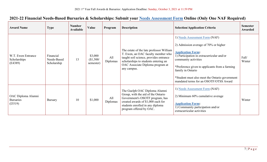| <b>Award Name</b>                                 | <b>Type</b>                             | <b>Number</b><br><b>Available</b> | Value                             | Program         | <b>Description</b>                                                                                                                                                                                                  | <b>Selection/Application Criteria</b>                                                                                                                                                                                                                                                                                                        | <b>Semester</b><br>Awarded |
|---------------------------------------------------|-----------------------------------------|-----------------------------------|-----------------------------------|-----------------|---------------------------------------------------------------------------------------------------------------------------------------------------------------------------------------------------------------------|----------------------------------------------------------------------------------------------------------------------------------------------------------------------------------------------------------------------------------------------------------------------------------------------------------------------------------------------|----------------------------|
| W.T. Ewen Entrance<br>Scholarships<br>(E4389)     | Financial<br>Needs-Based<br>Scholarship | 13                                | \$3,000<br>(\$1,500/<br>semester) | All<br>Diplomas | The estate of the late professor William<br>T. Ewen, an OAC faculty member who<br>taught soil science, provides entrance<br>scholarships to students entering an<br>OAC Associate Diploma program at<br>any campus. | 1) Needs Assessment Form (NAF)<br>2) Admission average of 70% or higher<br><b>Application Form:</b><br>1) Participation in extracurricular and/or<br>community activities<br>*Preference given to applicants from a farming<br>family in Ontario<br>*Student must also meet the Ontario government<br>mandated terms for an OSOTF/OTSS Award | Fall/<br>Winter            |
| OAC Diploma Alumni<br><b>Bursaries</b><br>(I3519) | <b>Bursary</b>                          | 10                                | \$1,000                           | All<br>Diplomas | The Guelph OAC Diploma Alumni<br>Group, with the aid of the Ontario<br>Government's OSOTF program, has<br>created awards of \$1,000 each for<br>students enrolled in any diploma<br>program offered by OAC.         | 1) Needs Assessment Form (NAF)<br>2) Minimum 60% cumulative average<br><b>Application Form:</b><br>1) Community participation and/or<br>extracurricular activities                                                                                                                                                                           | Winter                     |

## **2021-22 Financial Needs-Based Bursaries & Scholarships: Submit your [Needs Assessment Form](https://uoguel.ph/ridgetown-naf) Online (Only One NAF Required)**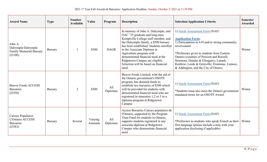| <b>Award Name</b>                                                            | <b>Type</b>    | <b>Number</b><br><b>Available</b> | Value              | Program         | <b>Description</b>                                                                                                                                                                                                                                                                                                                                                                    | <b>Selection/Application Criteria</b>                                                                                                                                                                                                                                                                                                                      | <b>Semester</b><br>Awarded |
|------------------------------------------------------------------------------|----------------|-----------------------------------|--------------------|-----------------|---------------------------------------------------------------------------------------------------------------------------------------------------------------------------------------------------------------------------------------------------------------------------------------------------------------------------------------------------------------------------------------|------------------------------------------------------------------------------------------------------------------------------------------------------------------------------------------------------------------------------------------------------------------------------------------------------------------------------------------------------------|----------------------------|
| John A.<br>Dalrymple/Dalrymple<br><b>Family Memorial Bursary</b><br>(I3100)  | <b>Bursary</b> |                                   | \$500              | <b>DAGR</b>     | In memory of John A. Dalrymple, and<br>OAC '35 graduate and long-time<br>Kemptville College staff member, and<br>the Dalrymple family, a \$500 bursary<br>has been established. Students enrolled<br>in the Associate Diploma in<br>Agriculture program with<br>demonstrated financial need at the<br>Ridgetown Campus are eligible.<br>Selection will be based on financial<br>need. | 1) Needs Assessment Form (NAF)<br><b>Application Form:</b><br>1) Participation in 4-H and/or strong community<br>involvement<br>*Preference given to students from Eastern<br>Ontario (counties of Prescott and Russell;<br>Stormont, Dundas & Glengarry; Lanark,<br>Renfrew, Leeds & Grenville; Frontenac, Lennox,<br>& Addington; and the City of Ottawa | Winter                     |
| <b>Beaver Foods ACCESS</b><br><b>Bursaries</b><br>(I3550)                    | <b>Bursary</b> | $\overline{2}$                    | \$500              | All<br>Diplomas | Beaver Foods Limited, with the aid of<br>the Ontario government's OSOTF<br>program, has donated funds to<br>establish two bursaries of \$500 which<br>will be provided for students with<br>demonstrated financial need who are<br>registered in semesters 1,2 or 3 in a<br>diploma program at Ridgetown<br>Campus                                                                    | 1) Needs Assessment Form (NAF)<br>*Students must also meet the Ontario government<br>mandated terms for an OSOTF Award                                                                                                                                                                                                                                     | Winter                     |
| Caisses Populaires<br><b>L'Ontario ACCESS</b><br><b>Bursaries</b><br>(I3583) | <b>Bursary</b> | Several                           | Varying<br>Amounts | All<br>Diplomas | Access Bursaries Caisses populaires de<br>l'Ontario, supported by the Program<br>Trust Fund for students in Ontario,<br>supports students registered in any<br>associate diploma at Ridgetown<br>Campus who demonstrate financial<br>need                                                                                                                                             | 1) Needs Assessment Form (NAF)<br>*Preference to students who speak French as their<br>first language (please include a note with your<br>application disclosing if applicable)                                                                                                                                                                            | Winter                     |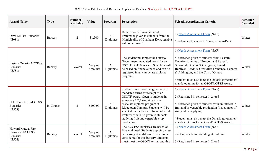| <b>Award Name</b>                                                                   | <b>Type</b>    | <b>Number</b><br><b>Available</b> | Value              | Program         | <b>Description</b>                                                                                                                                                                                                                                                                                                                                         | <b>Selection/Application Criteria</b>                                                                                                                                                                                                                                                                                                                    | <b>Semester</b><br>Awarded |
|-------------------------------------------------------------------------------------|----------------|-----------------------------------|--------------------|-----------------|------------------------------------------------------------------------------------------------------------------------------------------------------------------------------------------------------------------------------------------------------------------------------------------------------------------------------------------------------------|----------------------------------------------------------------------------------------------------------------------------------------------------------------------------------------------------------------------------------------------------------------------------------------------------------------------------------------------------------|----------------------------|
| Dave Millard Bursaries<br>(I3081)                                                   | <b>Bursary</b> | $\overline{2}$                    | \$1,500            | All<br>Diplomas | Demonstrated Financial need.<br>Preference given to students from the<br>Municipality of Chatham-Kent, tenable<br>with other awards                                                                                                                                                                                                                        | 1) Needs Assessment Form (NAF)<br>*Preference to students from Chatham-Kent                                                                                                                                                                                                                                                                              | Winter                     |
| <b>Eastern Ontario ACCESS</b><br><b>Bursaries</b><br>(I3581)                        | <b>Bursary</b> | Several                           | Varying<br>Amounts | All<br>Diplomas | The student must meet the Ontario<br>Government mandated terms for an<br>OSOTF / OTSS Award. Selection will<br>be based on financial need and can be<br>registered in any associate diploma<br>program.                                                                                                                                                    | 1) Needs Assessment Form (NAF)<br>*Preference given to students from Eastern<br>Ontario (counties of Prescott and Russell;<br>Stormont, Dundas & Glengarry; Lanark,<br>Renfrew, Leeds & Grenville; Frontenac, Lennox,<br>& Addington; and the City of Ottawa<br>*Student must also meet the Ontario government<br>mandated terms for an OSOTF/OTSS Award | Winter                     |
| H.J. Heinz Ltd. ACCESS<br><b>Bursaries</b><br>(I3553)                               | In-Course      | 2                                 | \$400.00           | All<br>Diplomas | Students must meet the government<br>mandated terms for receipt of an<br>OSOTF award. Open to students in<br>semesters 1,2,3 studying in any<br>associate diploma program at<br>Ridgetown Campus. Students will be<br>selected on the basis of financial need.<br>Preference will be given to students<br>studying fruit and vegetable crop<br>production. | 1) Needs Assessment Form (NAF)<br>2) Registered in semester $1, 2$ , or 3<br>*Preference given to students with an interest in<br>fruit and/or vegetable production (list courses of<br>study when applying)<br>*Student must also meet the Ontario government<br>mandated terms for an OSOTF/OTSS Award                                                 | Winter                     |
| <b>Howard Mutual Fire</b><br><b>Insurance ACCESS</b><br><b>Bursaries</b><br>(I3554) | <b>Bursary</b> | Several                           | Varying<br>Amounts | All<br>Diplomas | The ACCESS bursaries are based on<br>financial need. Students applying must<br>be passing at mid-term in order to be<br>considered for this bursary. Students<br>must meet the OSOTF terms, and this                                                                                                                                                       | 1) Needs Assessment Form (NAF)<br>2) Good academic standing at midterm<br>3) Registered in semester 1, 2, or 3                                                                                                                                                                                                                                           | Winter                     |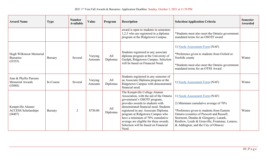| <b>Award Name</b>                                           | <b>Type</b>    | <b>Number</b><br><b>Available</b> | Value              | Program         | <b>Description</b>                                                                                                                                                                                                                                                                                                                                                                             | <b>Selection/Application Criteria</b>                                                                                                                                                                                                                                                                 | <b>Semester</b><br>Awarded |
|-------------------------------------------------------------|----------------|-----------------------------------|--------------------|-----------------|------------------------------------------------------------------------------------------------------------------------------------------------------------------------------------------------------------------------------------------------------------------------------------------------------------------------------------------------------------------------------------------------|-------------------------------------------------------------------------------------------------------------------------------------------------------------------------------------------------------------------------------------------------------------------------------------------------------|----------------------------|
|                                                             |                |                                   |                    |                 | award is open to students in semesters<br>1,2,3 who are registered in a diploma<br>program at the Ridgetown Campus.                                                                                                                                                                                                                                                                            | *Students must also meet the Ontario government<br>mandated terms for an OSOTF award                                                                                                                                                                                                                  |                            |
| Hugh Wilkinson Memorial<br><b>Bursaries</b><br>(I3555)      | Bursary        | Several                           | Varying<br>Amounts | All<br>Diplomas | Students registered in any associate<br>diploma program at the University of<br>Guelph, Ridgetown Campus. Selection<br>will be based on Financial Need.                                                                                                                                                                                                                                        | 1) Needs Assessment Form (NAF)<br>*Preference given to students from Oxford or<br>Norfolk county<br>*Students must also meet the Ontario government<br>mandated terms for an OTSS Award                                                                                                               | Winter                     |
| Jean & Phyllis Parsons<br><b>Memorial Awards</b><br>(I3088) | In-Course      | Several                           | Varying<br>Amounts | All<br>Diplomas | Students registered in any semester of<br>an Associate Diploma program at the<br>Ridgetown Campus with demonstrated<br>financial need.                                                                                                                                                                                                                                                         | 1) Needs Assessment Form (NAF)                                                                                                                                                                                                                                                                        | Winter                     |
| Kemptville Alumni<br><b>ACCESS Scholarships</b><br>(14407)  | <b>Bursary</b> | $\overline{2}$                    | \$750.00           | All<br>Diplomas | The Kemptville College Alumni<br>Association, with the aid of the Ontario<br>government's OSOTF program,<br>provides awards to students with<br>demonstrated financial need. Students<br>registered in any Associate Diploma<br>program at Ridgetown Campus who<br>have a minimum of 70% cumulative<br>average are eligible for these awards.<br>Selection will be based on Financial<br>Need. | 1) Needs Assessment Form (NAF)<br>2) Minimum cumulative average of 70%<br>*Preference given to students from Eastern<br>Ontario (counties of Prescott and Russell;<br>Stormont, Dundas & Glengarry; Lanark,<br>Renfrew, Leeds & Grenville; Frontenac, Lennox,<br>& Addington; and the City of Ottawa) | Winter                     |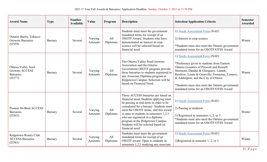| <b>Award Name</b>                                                                 | <b>Type</b>    | <b>Number</b><br><b>Available</b> | Value              | Program         | <b>Description</b>                                                                                                                                                                                                                                                                                                                                                                    | <b>Selection/Application Criteria</b>                                                                                                                                                                                                                                                                                                                     | <b>Semester</b><br>Awarded |
|-----------------------------------------------------------------------------------|----------------|-----------------------------------|--------------------|-----------------|---------------------------------------------------------------------------------------------------------------------------------------------------------------------------------------------------------------------------------------------------------------------------------------------------------------------------------------------------------------------------------------|-----------------------------------------------------------------------------------------------------------------------------------------------------------------------------------------------------------------------------------------------------------------------------------------------------------------------------------------------------------|----------------------------|
| <b>Ontario Burley Tobacco</b><br><b>Growers Bursaries</b><br>(13559)              | <b>Bursary</b> | Several                           | Varying<br>Amounts | All<br>Diplomas | Students must meet the government<br>mandated terms for receipt of an<br>OSOTF Award. Students who have<br>demonstrated an interest in crop<br>science will be selected based on<br>financial need.                                                                                                                                                                                   | 1) Needs Assessment Form (NAF)<br>2) Interest in crop science<br>*Students must also meet the Ontario government<br>mandated terms for an OSOTF/OTSS Award                                                                                                                                                                                                | Winter                     |
| <b>Ottawa Valley Seed</b><br><b>Growers ACCESS</b><br><b>Bursaries</b><br>(I3577) | <b>Bursary</b> | Several                           | Varying<br>Amounts | All<br>Diplomas | The Ottawa Valley Seed Growers<br>Association and the Ontario<br>Government OSOTF program provide<br>these bursaries to students registered in<br>any Associate Diploma program at<br>Ridgetown Campus. Selection will be<br>based on Financial Need.                                                                                                                                 | 1) Needs Assessment Form (NAF)<br>*Preference given to students from Eastern<br>Ontario (counties of Prescott and Russell;<br>Stormont, Dundas & Glengarry; Lanark,<br>Renfrew, Leeds & Grenville; Frontenac, Lennox,<br>& Addington; and the City of Ottawa<br>*Students must also meet the Ontario government<br>mandated terms for an OSOTF/OTSS Award | Winter                     |
| Pioneer Hi-Bred ACCESS<br><b>Bursaries</b><br>(I3563)                             | <b>Bursary</b> | Several                           | Varying<br>Amounts | All<br>Diplomas | These ACCESS bursaries are based on<br>financial need. Students applying must<br>be passing at mid-term in order to be<br>considered for a bursary. Students must<br>meet the OSOTF terms, and this award<br>is open to students in semesters $1,2,3$<br>who are registered in a diploma<br>program at the Ridgetown Campus.<br>Students will be selected based on<br>financial need. | 1) Needs Assessment Form (NAF)<br>2) Passing at midterm<br>3) Registered in semesters 1, 2, or 3<br>*Students must also meet the Ontario government<br>mandated terms for an OSOTF/OTSS Award                                                                                                                                                             | Winter                     |
| Ridgetown Rotary Club<br><b>ACCESS Bursaries</b><br>(13563)                       | <b>Bursary</b> | Several                           | Varying<br>Amounts | All<br>Diplomas | Students must meet the government<br>mandated terms for receipt of an<br>OSOTF award. Open to students in<br>semesters 1,2,3 studying any associate                                                                                                                                                                                                                                   | 1) Needs Assessment Form (NAF)<br>2)Registered in semester $1, 2$ , or 3                                                                                                                                                                                                                                                                                  | Winter                     |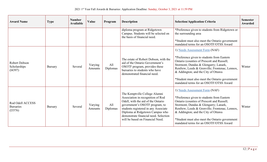| <b>Award Name</b>                               | <b>Type</b>    | <b>Number</b><br><b>Available</b> | Value              | Program         | <b>Description</b>                                                                                                                                                                                                                                                                                 | <b>Selection/Application Criteria</b>                                                                                                                                                                                                                                                                                                                    | <b>Semester</b><br>Awarded |
|-------------------------------------------------|----------------|-----------------------------------|--------------------|-----------------|----------------------------------------------------------------------------------------------------------------------------------------------------------------------------------------------------------------------------------------------------------------------------------------------------|----------------------------------------------------------------------------------------------------------------------------------------------------------------------------------------------------------------------------------------------------------------------------------------------------------------------------------------------------------|----------------------------|
|                                                 |                |                                   |                    |                 | diploma program at Ridgetown<br>Campus. Students will be selected on<br>the basis of financial need.                                                                                                                                                                                               | *Preference given to students from Ridgetown or<br>the surrounding area                                                                                                                                                                                                                                                                                  |                            |
|                                                 |                |                                   |                    |                 |                                                                                                                                                                                                                                                                                                    | *Student must also meet the Ontario government<br>mandated terms for an OSOTF/OTSS Award                                                                                                                                                                                                                                                                 |                            |
| Robert Dobson<br>Scholarships<br>(I4397)        | <b>Bursary</b> | Several                           | Varying<br>Amounts | All<br>Diplomas | The estate of Robert Dobson, with the<br>aid of the Ontario Government's<br>OSOTF program, provides these<br>bursaries to students who have<br>demonstrated financial need.                                                                                                                        | 1) Needs Assessment Form (NAF)<br>*Preference given to students from Eastern<br>Ontario (counties of Prescott and Russell;<br>Stormont, Dundas & Glengarry; Lanark,<br>Renfrew, Leeds & Grenville; Frontenac, Lennox,<br>& Addington; and the City of Ottawa<br>*Student must also meet the Ontario government<br>mandated terms for an OSOTF/OTSS Award | Winter                     |
| Rod Odell ACCESS<br><b>Bursaries</b><br>(13576) | <b>Bursary</b> | Several                           | Varying<br>Amounts | All<br>Diplomas | The Kemptville College Alumni<br>Association in recognition of Rod<br>Odell, with the aid of the Ontario<br>government's OSOTF program, to<br>students registered in any Associate<br>Diploma at Ridgetown Campus who<br>demonstrate financial need. Selection<br>will be based on Financial Need. | 1) Needs Assessment Form (NAF)<br>*Preference given to students from Eastern<br>Ontario (counties of Prescott and Russell;<br>Stormont, Dundas & Glengarry; Lanark,<br>Renfrew, Leeds & Grenville; Frontenac, Lennox,<br>& Addington; and the City of Ottawa<br>*Student must also meet the Ontario government<br>mandated terms for an OSOTF/OTSS Award | Winter                     |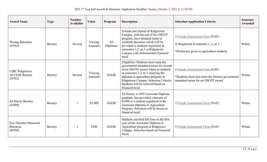| <b>Award Name</b>                                            | <b>Type</b>    | <b>Number</b><br><b>Available</b> | Value              | Program         | <b>Description</b>                                                                                                                                                                                                                                                                               | <b>Selection/Application Criteria</b>                                                                                  | <b>Semester</b><br><b>Awarded</b> |
|--------------------------------------------------------------|----------------|-----------------------------------|--------------------|-----------------|--------------------------------------------------------------------------------------------------------------------------------------------------------------------------------------------------------------------------------------------------------------------------------------------------|------------------------------------------------------------------------------------------------------------------------|-----------------------------------|
| <b>Westag Bursaries</b><br>(13563)                           | <b>Bursary</b> | Several                           | Varying<br>Amounts | All<br>Diplomas | Friends and alumni of Ridgetown<br>Campus, with the aid of the OSOTF<br>program, have donated funds to<br>establish bursaries which will be<br>provided to students registered in<br>semesters 1,2, or 3 at Ridgetown<br>Campus with demonstrated financial<br>need.                             | 1) Needs Assessment Form (NAF)<br>2) Registered in semester $1, 2$ , or 3<br>*Preference given to agriculture students | Winter                            |
| <b>CIBC</b> Ridgetown<br><b>ACCESS Bursary</b><br>(I3552)    | <b>Bursary</b> | Several                           | Varying<br>Amounts | <b>DAGR</b>     | Eligibility: Students must meet the<br>government mandated terms for receipt<br>of an OSOTF award. Open to students<br>in semesters 1,2 or 3 studying the<br>diploma in agriculture program at<br>Ridgetown Campus. Selection Criteria:<br>Students will be selected based on<br>financial need. | 1) Needs Assessment Form (NAF)<br>*Students must also meet the Ontario government<br>mandated terms for an OSOTF award | Winter                            |
| <b>Ed Stacey Bursary</b><br>(I3090)                          | <b>Bursary</b> |                                   | \$1,000            | <b>DAGR</b>     | Ed Stacey, a 1958 Associate Diploma<br>graduate, has provided a bursary of<br>\$1000 to a student registered in the<br>Associate Diploma in Agriculture<br>Program. Selection will be based on<br>financial need.                                                                                | 1) Needs Assessment Form (NAF)                                                                                         | Winter                            |
| <b>Eric Denotter Memorial</b><br><b>Bursaries</b><br>(10394) | <b>Bursary</b> |                                   | \$500              | <b>DAGR</b>     | Students enrolled full time in the first<br>year of the Associate Diploma in<br>Agriculture program at Ridgetown<br>Campus. Selection based on Financial<br>Need.                                                                                                                                | 1) Needs Assessment Form (NAF)                                                                                         | Winter                            |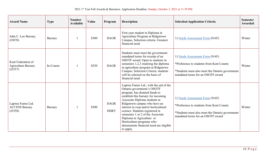| <b>Award Name</b>                                           | <b>Type</b>    | <b>Number</b><br><b>Available</b> | Value | Program                    | <b>Description</b>                                                                                                                                                                                                                                                                                                                                                                                                                                | <b>Selection/Application Criteria</b>                                                                                                                              | <b>Semester</b><br>Awarded |
|-------------------------------------------------------------|----------------|-----------------------------------|-------|----------------------------|---------------------------------------------------------------------------------------------------------------------------------------------------------------------------------------------------------------------------------------------------------------------------------------------------------------------------------------------------------------------------------------------------------------------------------------------------|--------------------------------------------------------------------------------------------------------------------------------------------------------------------|----------------------------|
| John C. Lee Bursary<br>(I3070)                              | <b>Bursary</b> |                                   | \$300 | <b>DAGR</b>                | First year student in Diploma in<br>Agriculture Program at Ridgetown<br>Campus. Selection criteria: Greatest<br>financial need.                                                                                                                                                                                                                                                                                                                   | 1) Needs Assessment Form (NAF)                                                                                                                                     | Winter                     |
| Kent Federation of<br><b>Agriculture Bursary</b><br>(I3557) | In-Course      |                                   | \$250 | <b>DAGR</b>                | Students must meet the government<br>mandated terms for receipt of an<br>OSOTF award. Open to students in<br>semesters 1,2,3 studying the diploma<br>in agriculture program at Ridgetown<br>Campus. Selection Criteria: students<br>will be selected on the basis of<br>financial need.                                                                                                                                                           | 1) Needs Assessment Form (NAF)<br>*Preference to students from Kent County<br>*Students must also meet the Ontario government<br>mandated terms for an OSOTF award | Winter                     |
| Laprise Farms Ltd.<br><b>ACCESS Bursary</b><br>(I3558)      | <b>Bursary</b> |                                   | \$500 | <b>DAGR</b><br><b>DHRT</b> | Laprise Farms Ltd., with the aid of the<br>Ontario government's OSOTF<br>program, has donated funds to<br>establish this bursary for incoming<br>Associate Diploma students at<br>Ridgetown campus who have an<br>interest in crop and/or horticultural<br>science. Students registered in<br>semesters 1 or 2 of the Associate<br>Diploma in Agriculture or<br>Horticulture programs who<br>demonstrate financial need are eligible<br>to apply. | 1) Needs Assessment Form (NAF)<br>*Preference to students from Kent County<br>*Students must also meet the Ontario government<br>mandated terms for an OSOTF award | Winter                     |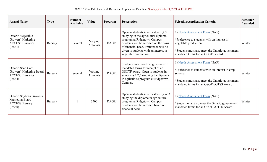| <b>Award Name</b>                                                                   | <b>Type</b>    | <b>Number</b><br><b>Available</b> | Value              | Program     | <b>Description</b>                                                                                                                                                                                                                                                | <b>Selection/Application Criteria</b>                                                                                                                                                         | <b>Semester</b><br>Awarded |
|-------------------------------------------------------------------------------------|----------------|-----------------------------------|--------------------|-------------|-------------------------------------------------------------------------------------------------------------------------------------------------------------------------------------------------------------------------------------------------------------------|-----------------------------------------------------------------------------------------------------------------------------------------------------------------------------------------------|----------------------------|
| Ontario Vegetable<br>Growers' Marketing<br><b>ACCESS Bursaries</b><br>(I3561)       | <b>Bursary</b> | Several                           | Varying<br>Amounts | <b>DAGR</b> | Open to students in semesters $1,2,3$<br>studying in the agriculture diploma<br>program at Ridgetown Campus.<br>Students will be selected on the basis<br>of financial need. Preference will be<br>given to students with an interest in<br>vegetable production. | 1) Needs Assessment Form (NAF)<br>*Preference to students with an interest in<br>vegetable production<br>*Students must also meet the Ontario government<br>mandated terms for an OSOTF award | Winter                     |
| Ontario Seed Corn<br>Growers' Marketing Board<br><b>ACCESS Bursaries</b><br>(13564) | <b>Bursary</b> | Several                           | Varying<br>Amounts | <b>DAGR</b> | Students must meet the government<br>mandated terms for receipt of an<br>OSOTF award. Open to students in<br>semesters 1,2,3 studying the diploma<br>in agriculture program at Ridgetown<br>Campus.                                                               | 1) Needs Assessment Form (NAF)<br>*Preference to students with an interest in crop<br>science<br>*Students must also meet the Ontario government<br>mandated terms for an OSOTF/OTSS Award    | Winter                     |
| Ontario Soybean Growers'<br>Marketing Board<br><b>ACCESS Bursary</b><br>(13560)     | <b>Bursary</b> |                                   | \$500              | <b>DAGR</b> | Open to students in semesters $1,2$ or 3<br>studying the diploma in agriculture<br>program at Ridgetown Campus.<br>Students will be selected based on<br>financial need.                                                                                          | 1) Needs Assessment Form (NAF)<br>*Student must also meet the Ontario government<br>mandated terms for an OSOTF/OTSS Award                                                                    | Winter                     |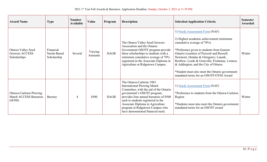| <b>Award Name</b>                                                   | <b>Type</b>                             | <b>Number</b><br><b>Available</b> | Value              | Program     | <b>Description</b>                                                                                                                                                                                                                                                                                                                   | <b>Selection/Application Criteria</b>                                                                                                                                                                                                                                                                                                                                                                                              | <b>Semester</b><br>Awarded |
|---------------------------------------------------------------------|-----------------------------------------|-----------------------------------|--------------------|-------------|--------------------------------------------------------------------------------------------------------------------------------------------------------------------------------------------------------------------------------------------------------------------------------------------------------------------------------------|------------------------------------------------------------------------------------------------------------------------------------------------------------------------------------------------------------------------------------------------------------------------------------------------------------------------------------------------------------------------------------------------------------------------------------|----------------------------|
| <b>Ottawa Valley Seed</b><br>Growers ACCESS<br>Scholarships         | Financial<br>Needs-Based<br>Scholarship | Several                           | Varying<br>Amounts | <b>DAGR</b> | The Ottawa Valley Seed Growers<br>Association and the Ontario<br>Government OSOTF program provide<br>these scholarships to students with a<br>minimum cumulative average of 70%<br>registered in the Associate Diploma in<br>Agriculture at Ridgetown Campus.                                                                        | 1) Needs Assessment Form (NAF)<br>2) Highest academic achievement (minimum<br>cumulative average of 70%)<br>*Preference given to students from Eastern<br>Ontario (counties of Prescott and Russell;<br>Stormont, Dundas & Glengarry; Lanark,<br>Renfrew, Leeds & Grenville; Frontenac, Lennox,<br>& Addington; and the City of Ottawa<br>*Student must also meet the Ontario government<br>mandated terms for an OSOTF/OTSS Award | Winter                     |
| Ottawa-Carleton Plowing<br><b>Match ACCESS Bursaries</b><br>(14398) | Bursary                                 | 4                                 | \$500              | <b>DAGR</b> | The Ottawa-Carleton 1983<br><b>International Plowing Match</b><br>Committee, with the aid of the Ontario<br>government's OSOTF program,<br>provides four annual bursaries of \$500<br>each to students registered in the<br>Associate Diploma in Agriculture<br>program at Ridgetown Campus who<br>have demonstrated financial need. | 1) Needs Assessment Form (NAF)<br>*Preference to students from the Ottawa-Carleton<br>Region<br>*Students must also meet the Ontario government<br>mandated terms for an OSOTF award                                                                                                                                                                                                                                               | Winter                     |